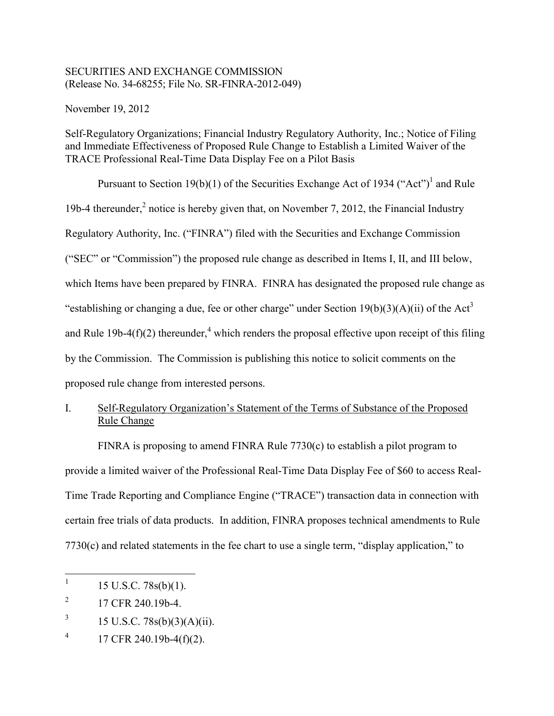### SECURITIES AND EXCHANGE COMMISSION (Release No. 34-68255; File No. SR-FINRA-2012-049)

November 19, 2012

Self-Regulatory Organizations; Financial Industry Regulatory Authority, Inc.; Notice of Filing and Immediate Effectiveness of Proposed Rule Change to Establish a Limited Waiver of the TRACE Professional Real-Time Data Display Fee on a Pilot Basis

Pursuant to Section 19(b)(1) of the Securities Exchange Act of 1934 ("Act")<sup>1</sup> and Rule 19b-4 thereunder, $<sup>2</sup>$  notice is hereby given that, on November 7, 2012, the Financial Industry</sup> Regulatory Authority, Inc. ("FINRA") filed with the Securities and Exchange Commission ("SEC" or "Commission") the proposed rule change as described in Items I, II, and III below, which Items have been prepared by FINRA. FINRA has designated the proposed rule change as "establishing or changing a due, fee or other charge" under Section  $19(b)(3)(A)(ii)$  of the Act<sup>3</sup> and Rule 19b-4(f)(2) thereunder,<sup>4</sup> which renders the proposal effective upon receipt of this filing by the Commission. The Commission is publishing this notice to solicit comments on the proposed rule change from interested persons.

# I. Self-Regulatory Organization's Statement of the Terms of Substance of the Proposed Rule Change

FINRA is proposing to amend FINRA Rule  $7730(c)$  to establish a pilot program to provide a limited waiver of the Professional Real-Time Data Display Fee of \$60 to access Real-Time Trade Reporting and Compliance Engine ("TRACE") transaction data in connection with certain free trials of data products. In addition, FINRA proposes technical amendments to Rule 7730(c) and related statements in the fee chart to use a single term, "display application," to

 $\frac{1}{1}$ 15 U.S.C. 78s(b)(1).

<sup>2</sup> 17 CFR 240.19b-4.

<sup>3</sup> 15 U.S.C. 78s(b)(3)(A)(ii).

<sup>4</sup> 17 CFR 240.19b-4(f)(2).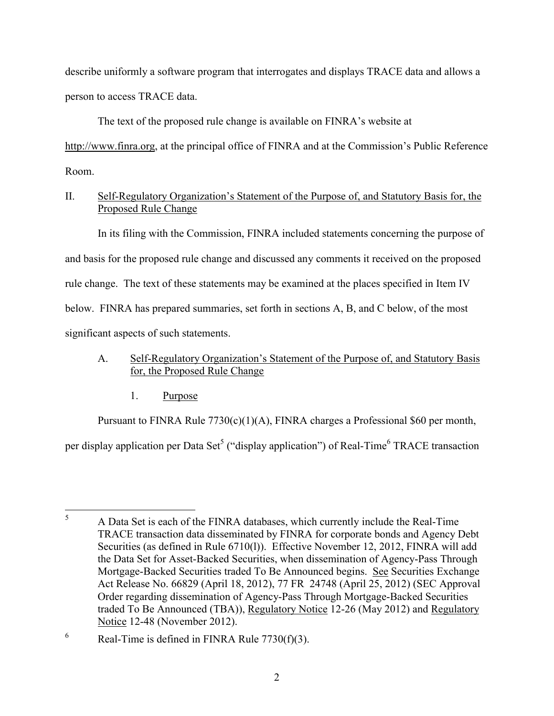describe uniformly a software program that interrogates and displays TRACE data and allows a person to access TRACE data.

The text of the proposed rule change is available on FINRA's website at

http://www.finra.org, at the principal office of FINRA and at the Commission's Public Reference Room.

## II. Self-Regulatory Organization's Statement of the Purpose of, and Statutory Basis for, the Proposed Rule Change

In its filing with the Commission, FINRA included statements concerning the purpose of and basis for the proposed rule change and discussed any comments it received on the proposed rule change. The text of these statements may be examined at the places specified in Item IV below. FINRA has prepared summaries, set forth in sections A, B, and C below, of the most significant aspects of such statements.

# A. Self-Regulatory Organization's Statement of the Purpose of, and Statutory Basis for, the Proposed Rule Change

1. Purpose

Pursuant to FINRA Rule 7730(c)(1)(A), FINRA charges a Professional \$60 per month,

per display application per Data Set<sup>5</sup> ("display application") of Real-Time<sup>6</sup> TRACE transaction

 $\overline{5}$ <sup>5</sup> A Data Set is each of the FINRA databases, which currently include the Real-Time TRACE transaction data disseminated by FINRA for corporate bonds and Agency Debt Securities (as defined in Rule 6710(l)). Effective November 12, 2012, FINRA will add the Data Set for Asset-Backed Securities, when dissemination of Agency-Pass Through Mortgage-Backed Securities traded To Be Announced begins. See Securities Exchange Act Release No. 66829 (April 18, 2012), 77 FR 24748 (April 25, 2012) (SEC Approval Order regarding dissemination of Agency-Pass Through Mortgage-Backed Securities traded To Be Announced (TBA)), Regulatory Notice 12-26 (May 2012) and Regulatory Notice 12-48 (November 2012).

<sup>&</sup>lt;sup>6</sup> Real-Time is defined in FINRA Rule  $7730(f)(3)$ .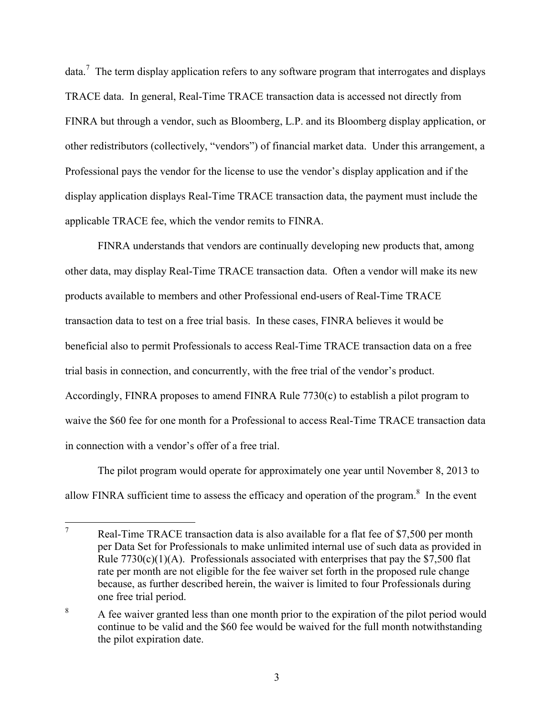data.<sup>7</sup> The term display application refers to any software program that interrogates and displays TRACE data. In general, Real-Time TRACE transaction data is accessed not directly from FINRA but through a vendor, such as Bloomberg, L.P. and its Bloomberg display application, or other redistributors (collectively, "vendors") of financial market data. Under this arrangement, a Professional pays the vendor for the license to use the vendor's display application and if the display application displays Real-Time TRACE transaction data, the payment must include the applicable TRACE fee, which the vendor remits to FINRA.

FINRA understands that vendors are continually developing new products that, among other data, may display Real-Time TRACE transaction data. Often a vendor will make its new products available to members and other Professional end-users of Real-Time TRACE transaction data to test on a free trial basis. In these cases, FINRA believes it would be beneficial also to permit Professionals to access Real-Time TRACE transaction data on a free trial basis in connection, and concurrently, with the free trial of the vendor's product. Accordingly, FINRA proposes to amend FINRA Rule 7730(c) to establish a pilot program to waive the \$60 fee for one month for a Professional to access Real-Time TRACE transaction data in connection with a vendor's offer of a free trial.

The pilot program would operate for approximately one year until November 8, 2013 to allow FINRA sufficient time to assess the efficacy and operation of the program. $8$  In the event

 $\overline{7}$ Real-Time TRACE transaction data is also available for a flat fee of \$7,500 per month per Data Set for Professionals to make unlimited internal use of such data as provided in Rule  $7730(c)(1)(A)$ . Professionals associated with enterprises that pay the \$7,500 flat rate per month are not eligible for the fee waiver set forth in the proposed rule change because, as further described herein, the waiver is limited to four Professionals during one free trial period.

<sup>&</sup>lt;sup>8</sup> A fee waiver granted less than one month prior to the expiration of the pilot period would continue to be valid and the \$60 fee would be waived for the full month notwithstanding the pilot expiration date.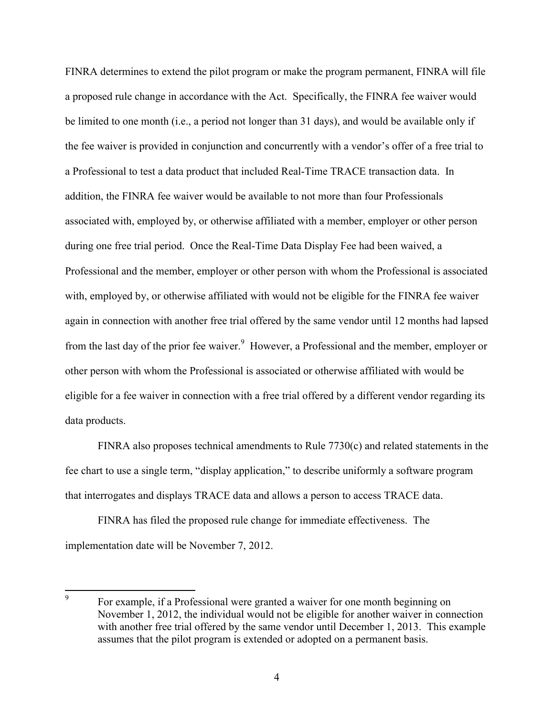FINRA determines to extend the pilot program or make the program permanent, FINRA will file a proposed rule change in accordance with the Act. Specifically, the FINRA fee waiver would be limited to one month (i.e., a period not longer than 31 days), and would be available only if the fee waiver is provided in conjunction and concurrently with a vendor's offer of a free trial to a Professional to test a data product that included Real-Time TRACE transaction data. In addition, the FINRA fee waiver would be available to not more than four Professionals associated with, employed by, or otherwise affiliated with a member, employer or other person during one free trial period. Once the Real-Time Data Display Fee had been waived, a Professional and the member, employer or other person with whom the Professional is associated with, employed by, or otherwise affiliated with would not be eligible for the FINRA fee waiver again in connection with another free trial offered by the same vendor until 12 months had lapsed from the last day of the prior fee waiver.<sup>9</sup> However, a Professional and the member, employer or other person with whom the Professional is associated or otherwise affiliated with would be eligible for a fee waiver in connection with a free trial offered by a different vendor regarding its data products.

FINRA also proposes technical amendments to Rule  $7730(c)$  and related statements in the fee chart to use a single term, "display application," to describe uniformly a software program that interrogates and displays TRACE data and allows a person to access TRACE data.

FINRA has filed the proposed rule change for immediate effectiveness. The implementation date will be November 7, 2012.

<sup>—&</sup>lt;br>9 For example, if a Professional were granted a waiver for one month beginning on November 1, 2012, the individual would not be eligible for another waiver in connection with another free trial offered by the same vendor until December 1, 2013. This example assumes that the pilot program is extended or adopted on a permanent basis.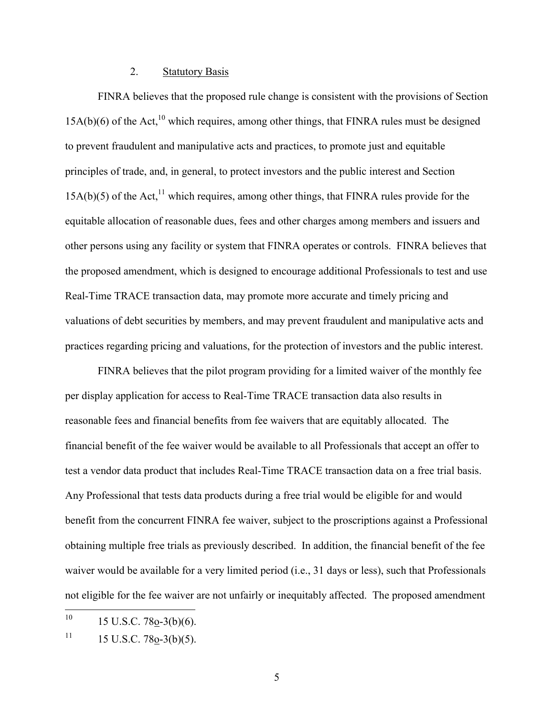### 2. Statutory Basis

FINRA believes that the proposed rule change is consistent with the provisions of Section  $15A(b)(6)$  of the Act,<sup>10</sup> which requires, among other things, that FINRA rules must be designed to prevent fraudulent and manipulative acts and practices, to promote just and equitable principles of trade, and, in general, to protect investors and the public interest and Section  $15A(b)(5)$  of the Act,<sup>11</sup> which requires, among other things, that FINRA rules provide for the equitable allocation of reasonable dues, fees and other charges among members and issuers and other persons using any facility or system that FINRA operates or controls. FINRA believes that the proposed amendment, which is designed to encourage additional Professionals to test and use Real-Time TRACE transaction data, may promote more accurate and timely pricing and valuations of debt securities by members, and may prevent fraudulent and manipulative acts and practices regarding pricing and valuations, for the protection of investors and the public interest.

FINRA believes that the pilot program providing for a limited waiver of the monthly fee per display application for access to Real-Time TRACE transaction data also results in reasonable fees and financial benefits from fee waivers that are equitably allocated. The financial benefit of the fee waiver would be available to all Professionals that accept an offer to test a vendor data product that includes Real-Time TRACE transaction data on a free trial basis. Any Professional that tests data products during a free trial would be eligible for and would benefit from the concurrent FINRA fee waiver, subject to the proscriptions against a Professional obtaining multiple free trials as previously described. In addition, the financial benefit of the fee waiver would be available for a very limited period (i.e., 31 days or less), such that Professionals not eligible for the fee waiver are not unfairly or inequitably affected. The proposed amendment

 $10<sup>10</sup>$  $15$  U.S.C. 78o-3(b)(6).

 $11$  15 U.S.C. 78o-3(b)(5).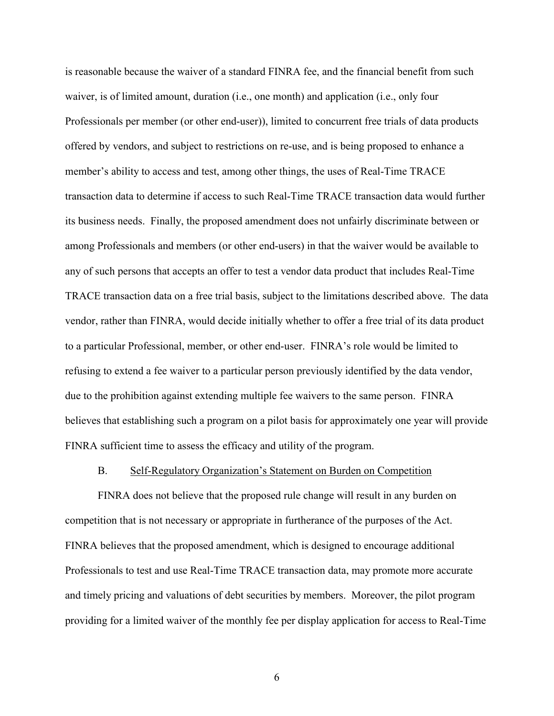is reasonable because the waiver of a standard FINRA fee, and the financial benefit from such waiver, is of limited amount, duration (i.e., one month) and application (i.e., only four Professionals per member (or other end-user)), limited to concurrent free trials of data products offered by vendors, and subject to restrictions on re-use, and is being proposed to enhance a member's ability to access and test, among other things, the uses of Real-Time TRACE transaction data to determine if access to such Real-Time TRACE transaction data would further its business needs. Finally, the proposed amendment does not unfairly discriminate between or among Professionals and members (or other end-users) in that the waiver would be available to any of such persons that accepts an offer to test a vendor data product that includes Real-Time TRACE transaction data on a free trial basis, subject to the limitations described above. The data vendor, rather than FINRA, would decide initially whether to offer a free trial of its data product to a particular Professional, member, or other end-user. FINRA's role would be limited to refusing to extend a fee waiver to a particular person previously identified by the data vendor, due to the prohibition against extending multiple fee waivers to the same person. FINRA believes that establishing such a program on a pilot basis for approximately one year will provide FINRA sufficient time to assess the efficacy and utility of the program.

#### B. Self-Regulatory Organization's Statement on Burden on Competition

FINRA does not believe that the proposed rule change will result in any burden on competition that is not necessary or appropriate in furtherance of the purposes of the Act. FINRA believes that the proposed amendment, which is designed to encourage additional Professionals to test and use Real-Time TRACE transaction data, may promote more accurate and timely pricing and valuations of debt securities by members. Moreover, the pilot program providing for a limited waiver of the monthly fee per display application for access to Real-Time

6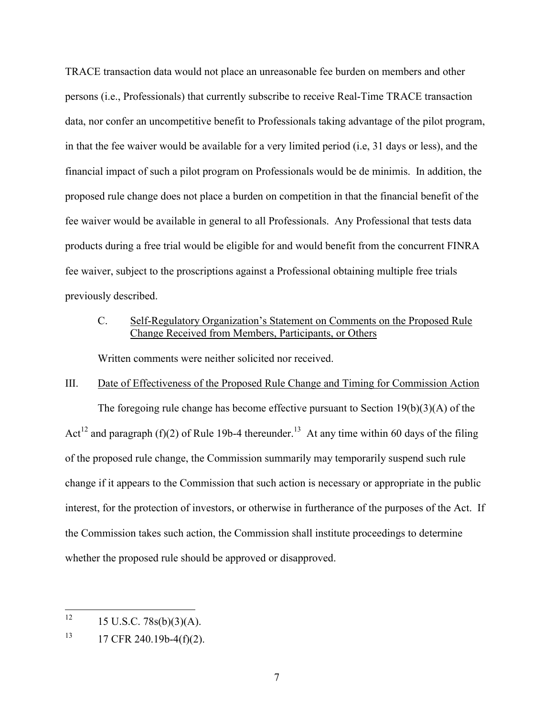TRACE transaction data would not place an unreasonable fee burden on members and other persons (i.e., Professionals) that currently subscribe to receive Real-Time TRACE transaction data, nor confer an uncompetitive benefit to Professionals taking advantage of the pilot program, in that the fee waiver would be available for a very limited period (i.e, 31 days or less), and the financial impact of such a pilot program on Professionals would be de minimis. In addition, the proposed rule change does not place a burden on competition in that the financial benefit of the fee waiver would be available in general to all Professionals. Any Professional that tests data products during a free trial would be eligible for and would benefit from the concurrent FINRA fee waiver, subject to the proscriptions against a Professional obtaining multiple free trials previously described.

### C. Self-Regulatory Organization's Statement on Comments on the Proposed Rule Change Received from Members, Participants, or Others

Written comments were neither solicited nor received.

### III. Date of Effectiveness of the Proposed Rule Change and Timing for Commission Action

The foregoing rule change has become effective pursuant to Section 19(b)(3)(A) of the Act<sup>12</sup> and paragraph (f)(2) of Rule 19b-4 thereunder.<sup>13</sup> At any time within 60 days of the filing of the proposed rule change, the Commission summarily may temporarily suspend such rule change if it appears to the Commission that such action is necessary or appropriate in the public interest, for the protection of investors, or otherwise in furtherance of the purposes of the Act. If the Commission takes such action, the Commission shall institute proceedings to determine whether the proposed rule should be approved or disapproved.

 $12$ <sup>12</sup> 15 U.S.C. 78s(b)(3)(A).

 $13$  17 CFR 240.19b-4(f)(2).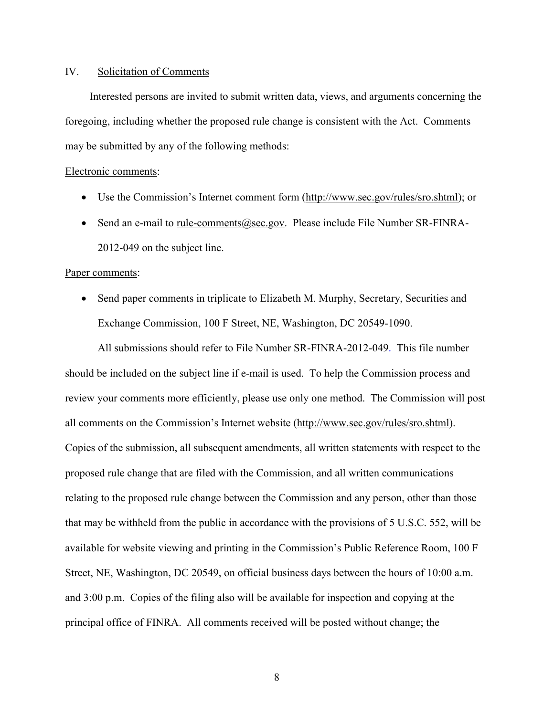### IV. Solicitation of Comments

Interested persons are invited to submit written data, views, and arguments concerning the foregoing, including whether the proposed rule change is consistent with the Act. Comments may be submitted by any of the following methods:

#### Electronic comments:

- Use the Commission's Internet comment form (http://www.sec.gov/rules/sro.shtml); or
- Send an e-mail to <u>rule-comments@sec.gov</u>. Please include File Number SR-FINRA-2012-049 on the subject line.

#### Paper comments:

• Send paper comments in triplicate to Elizabeth M. Murphy, Secretary, Securities and Exchange Commission, 100 F Street, NE, Washington, DC 20549-1090.

All submissions should refer to File Number SR-FINRA-2012-049. This file number should be included on the subject line if e-mail is used. To help the Commission process and review your comments more efficiently, please use only one method. The Commission will post all comments on the Commission's Internet website (http://www.sec.gov/rules/sro.shtml). Copies of the submission, all subsequent amendments, all written statements with respect to the proposed rule change that are filed with the Commission, and all written communications relating to the proposed rule change between the Commission and any person, other than those that may be withheld from the public in accordance with the provisions of 5 U.S.C. 552, will be available for website viewing and printing in the Commission's Public Reference Room, 100 F Street, NE, Washington, DC 20549, on official business days between the hours of 10:00 a.m. and 3:00 p.m. Copies of the filing also will be available for inspection and copying at the principal office of FINRA. All comments received will be posted without change; the

8